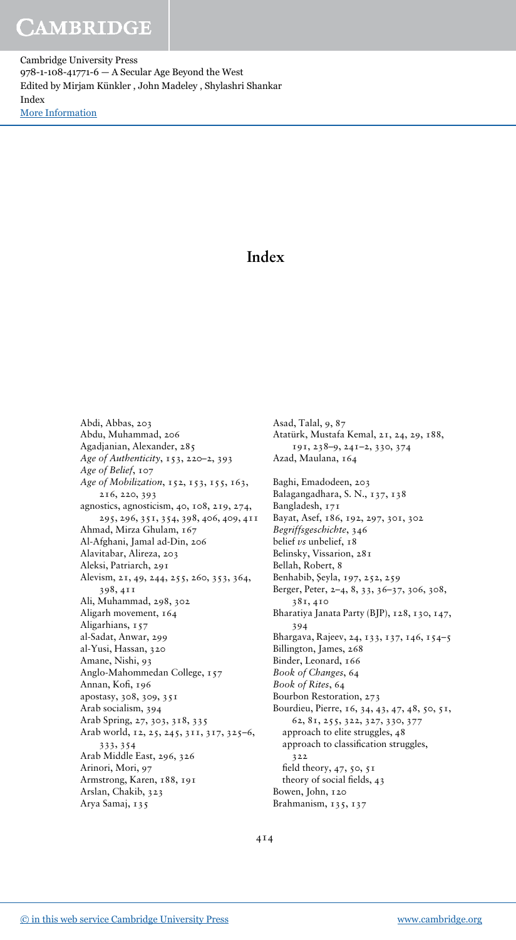Cambridge University Press 978-1-108-41771-6 — A Secular Age Beyond the West Edited by Mirjam Künkler , John Madeley , Shylashri Shankar Index [More Information](www.cambridge.org/9781108417716)

### Index

Abdi, Abbas, 203 Abdu, Muhammad, 206 Agadjanian, Alexander, 285 Age of Authenticity, 153, 220–2, 393 Age of Belief, 107 Age of Mobilization, 152, 153, 155, 163, 216, 220, 393 agnostics, agnosticism, 40, 108, 219, 274, 295, 296, 351, 354, 398, 406, 409, 411 Ahmad, Mirza Ghulam, 167 Al-Afghani, Jamal ad-Din, 206 Alavitabar, Alireza, 203 Aleksi, Patriarch, 291 Alevism, 21, 49, 244, 255, 260, 353, 364, 398, 411 Ali, Muhammad, 298, 302 Aligarh movement, 164 Aligarhians, 157 al-Sadat, Anwar, 299 al-Yusi, Hassan, 320 Amane, Nishi, 93 Anglo-Mahommedan College, 157 Annan, Kofi, 196 apostasy, 308, 309, 351 Arab socialism, 394 Arab Spring, 27, 303, 318, 335 Arab world, 12, 25, 245, 311, 317, 325–6, 333, 354 Arab Middle East, 296, 326 Arinori, Mori, 97 Armstrong, Karen, 188, 191 Arslan, Chakib, 323 Arya Samaj, 135

Asad, Talal, 9, 87 Atatürk, Mustafa Kemal, 21, 24, 29, 188, 191, 238–9, 241–2, 330, 374 Azad, Maulana, 164 Baghi, Emadodeen, 203 Balagangadhara, S. N., 137, 138 Bangladesh, 171 Bayat, Asef, 186, 192, 297, 301, 302 Begriffsgeschichte, 346 belief vs unbelief, 18 Belinsky, Vissarion, 281 Bellah, Robert, 8 Benhabib, Şeyla, 197, 252, 259 Berger, Peter, 2–4, 8, 33, 36–37, 306, 308, 381, 410 Bharatiya Janata Party (BJP), 128, 130, 147, 394 Bhargava, Rajeev, 24, 133, 137, 146, 154–5 Billington, James, 268 Binder, Leonard, 166 Book of Changes, 64 Book of Rites, 64 Bourbon Restoration, 273 Bourdieu, Pierre, 16, 34, 43, 47, 48, 50, 51, 62, 81, 255, 322, 327, 330, 377 approach to elite struggles, 48 approach to classification struggles, 322 field theory, 47, 50, 51 theory of social fields, 43 Bowen, John, 120 Brahmanism, 135, 137

414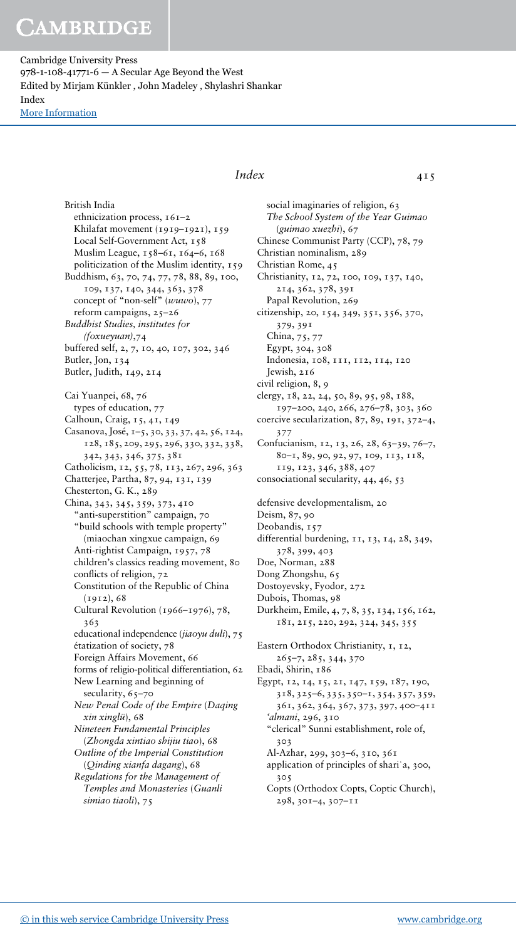British India

Cambridge University Press 978-1-108-41771-6 — A Secular Age Beyond the West Edited by Mirjam Künkler , John Madeley , Shylashri Shankar Index [More Information](www.cambridge.org/9781108417716)

> ethnicization process, 161–2 Khilafat movement (1919–1921), 159 Local Self-Government Act, 158 Muslim League, 158–61, 164–6, 168 politicization of the Muslim identity, 159 Buddhism, 63, 70, 74, 77, 78, 88, 89, 100, 109, 137, 140, 344, 363, 378 concept of "non-self" (wuwo), 77 reform campaigns, 25–26 Buddhist Studies, institutes for (foxueyuan),74 buffered self, 2, 7, 10, 40, 107, 302, 346 Butler, Jon, 134 Butler, Judith, 149, 214 Cai Yuanpei, 68, 76 types of education, 77 Calhoun, Craig, 15, 41, 149 Casanova, José, 1–5, 30, 33, 37, 42, 56, 124, 128, 185, 209, 295, 296, 330, 332, 338, 342, 343, 346, 375, 381 Catholicism, 12, 55, 78, 113, 267, 296, 363 Chatterjee, Partha, 87, 94, 131, 139 Chesterton, G. K., 289 China, 343, 345, 359, 373, 410 "anti-superstition" campaign, 70 "build schools with temple property" (miaochan xingxue campaign, 69 Anti-rightist Campaign, 1957, 78 children's classics reading movement, 80 conflicts of religion, 72 Constitution of the Republic of China (1912), 68 Cultural Revolution (1966–1976), 78, 363 educational independence (jiaoyu duli), 75 étatization of society, 78 Foreign Affairs Movement, 66 forms of religio-political differentiation, 62 New Learning and beginning of secularity, 65-70 New Penal Code of the Empire (Daqing xin xinglü), 68 Nineteen Fundamental Principles (Zhongda xintiao shijiu tiao), 68 Outline of the Imperial Constitution (Qinding xianfa dagang), 68 Regulations for the Management of Temples and Monasteries (Guanli simiao tiaoli), 75

#### $Index$  415

social imaginaries of religion, 63 The School System of the Year Guimao (guimao xuezhi), 67 Chinese Communist Party (CCP), 78, 79 Christian nominalism, 289 Christian Rome, 45 Christianity, 12, 72, 100, 109, 137, 140, 214, 362, 378, 391 Papal Revolution, 269 citizenship, 20, 154, 349, 351, 356, 370, 379, 391 China, 75, 77 Egypt, 304, 308 Indonesia, 108, 111, 112, 114, 120 Jewish, 216 civil religion, 8, 9 clergy, 18, 22, 24, 50, 89, 95, 98, 188, 197–200, 240, 266, 276–78, 303, 360 coercive secularization, 87, 89, 191, 372–4, 377 Confucianism, 12, 13, 26, 28, 63–39, 76–7, 80–1, 89, 90, 92, 97, 109, 113, 118, 119, 123, 346, 388, 407 consociational secularity, 44, 46, 53 defensive developmentalism, 20 Deism, 87, 90 Deobandis, 157 differential burdening, 11, 13, 14, 28, 349, 378, 399, 403 Doe, Norman, 288 Dong Zhongshu, 65 Dostoyevsky, Fyodor, 272 Dubois, Thomas, 98 Durkheim, Emile, 4, 7, 8, 35, 134, 156, 162, 181, 215, 220, 292, 324, 345, 355 Eastern Orthodox Christianity, 1, 12, 265–7, 285, 344, 370 Ebadi, Shirin, 186 Egypt, 12, 14, 15, 21, 147, 159, 187, 190, 318, 325–6, 335, 350–1, 354, 357, 359, 361, 362, 364, 367, 373, 397, 400–411 'almani, 296, 310 "clerical" Sunni establishment, role of, 303 Al-Azhar, 299, 303–6, 310, 361 application of principles of shari'a, 300, 305 Copts (Orthodox Copts, Coptic Church), 298, 301–4, 307–11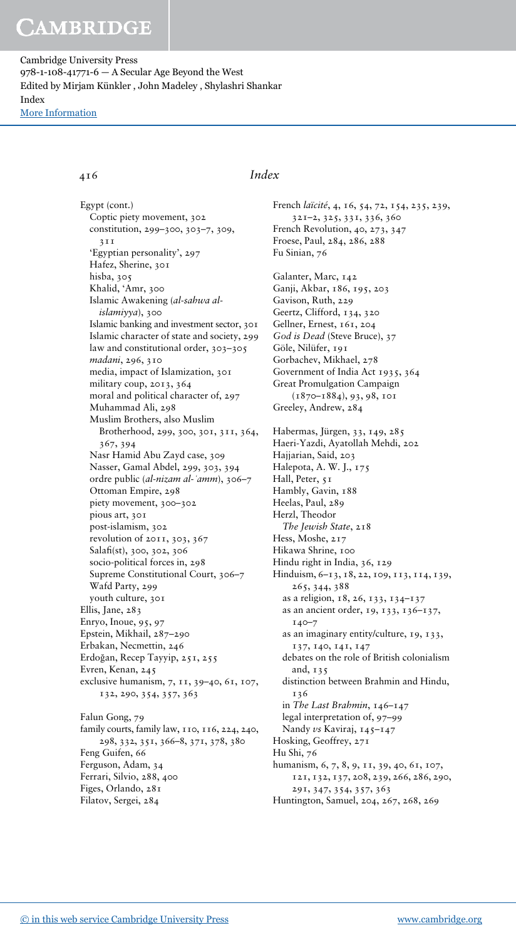Cambridge University Press 978-1-108-41771-6 — A Secular Age Beyond the West Edited by Mirjam Künkler , John Madeley , Shylashri Shankar Index [More Information](www.cambridge.org/9781108417716)

Egypt (cont.) Coptic piety movement, 302 constitution, 299–300, 303–7, 309,  $2T$ 'Egyptian personality', 297 Hafez, Sherine, 301 hisba, 305 Khalid, 'Amr, 300 Islamic Awakening (al-sahwa alislamiyya), 300 Islamic banking and investment sector, 301 Islamic character of state and society, 299 law and constitutional order, 303–305 madani, 296, 310 media, impact of Islamization, 301 military coup, 2013, 364 moral and political character of, 297 Muhammad Ali, 298 Muslim Brothers, also Muslim Brotherhood, 299, 300, 301, 311, 364, 367, 394 Nasr Hamid Abu Zayd case, 309 Nasser, Gamal Abdel, 299, 303, 394 ordre public (al-nizam al-ʿamm), 306–7 Ottoman Empire, 298 piety movement, 300–302 pious art, 301 post-islamism, 302 revolution of 2011, 303, 367 Salafi(st), 300, 302, 306 socio-political forces in, 298 Supreme Constitutional Court, 306–7 Wafd Party, 299 youth culture, 301 Ellis, Jane, 283 Enryo, Inoue, 95, 97 Epstein, Mikhail, 287–290 Erbakan, Necmettin, 246 Erdoğan, Recep Tayyip, 251, 255 Evren, Kenan, 245 exclusive humanism, 7, 11, 39–40, 61, 107, 132, 290, 354, 357, 363 Falun Gong, 79

family courts, family law, 110, 116, 224, 240, 298, 332, 351, 366–8, 371, 378, 380 Feng Guifen, 66 Ferguson, Adam, 34 Ferrari, Silvio, 288, 400 Figes, Orlando, 281 Filatov, Sergei, 284

#### 416 Index

French laïcité, 4, 16, 54, 72, 154, 235, 239, 321–2, 325, 331, 336, 360 French Revolution, 40, 273, 347 Froese, Paul, 284, 286, 288 Fu Sinian, 76 Galanter, Marc, 142 Ganji, Akbar, 186, 195, 203 Gavison, Ruth, 229 Geertz, Clifford, 134, 320 Gellner, Ernest, 161, 204 God is Dead (Steve Bruce), 37 Göle, Nilüfer, 191 Gorbachev, Mikhael, 278 Government of India Act 1935, 364 Great Promulgation Campaign (1870–1884), 93, 98, 101 Greeley, Andrew, 284 Habermas, Jürgen, 33, 149, 285 Haeri-Yazdi, Ayatollah Mehdi, 202 Hajjarian, Said, 203 Halepota, A. W. J., 175 Hall, Peter, 51 Hambly, Gavin, 188 Heelas, Paul, 289 Herzl, Theodor The Jewish State, 218 Hess, Moshe, 217 Hikawa Shrine, 100 Hindu right in India, 36, 129 Hinduism, 6–13, 18, 22, 109, 113, 114, 139, 265, 344, 388 as a religion, 18, 26, 133, 134–137 as an ancient order, 19, 133, 136–137, 140–7 as an imaginary entity/culture, 19, 133, 137, 140, 141, 147 debates on the role of British colonialism and, 135 distinction between Brahmin and Hindu, 136 in The Last Brahmin, 146–147 legal interpretation of, 97–99 Nandy vs Kaviraj, 145-147 Hosking, Geoffrey, 271 Hu Shi, 76 humanism, 6, 7, 8, 9, 11, 39, 40, 61, 107, 121, 132, 137, 208, 239, 266, 286, 290, 291, 347, 354, 357, 363 Huntington, Samuel, 204, 267, 268, 269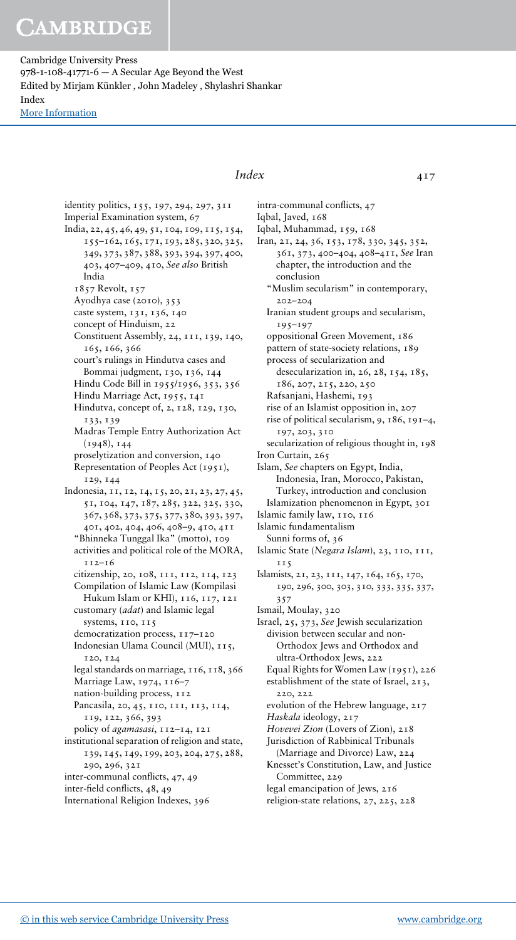Cambridge University Press 978-1-108-41771-6 — A Secular Age Beyond the West Edited by Mirjam Künkler , John Madeley , Shylashri Shankar Index [More Information](www.cambridge.org/9781108417716)

> identity politics, 155, 197, 294, 297, 311 Imperial Examination system, 67 India, 22, 45, 46, 49, 51, 104, 109, 115, 154, 155–162, 165, 171, 193, 285, 320, 325, 349, 373, 387, 388, 393, 394, 397, 400, 403, 407–409, 410, See also British India 1857 Revolt, 157 Ayodhya case (2010), 353 caste system, 131, 136, 140 concept of Hinduism, 22 Constituent Assembly, 24, 111, 139, 140, 165, 166, 366 court's rulings in Hindutva cases and Bommai judgment, 130, 136, 144 Hindu Code Bill in 1955/1956, 353, 356 Hindu Marriage Act, 1955, 141 Hindutva, concept of, 2, 128, 129, 130, 133, 139 Madras Temple Entry Authorization Act (1948), 144 proselytization and conversion, 140 Representation of Peoples Act (1951), 129, 144 Indonesia, 11, 12, 14, 15, 20, 21, 23, 27, 45, 51, 104, 147, 187, 285, 322, 325, 330, 367, 368, 373, 375, 377, 380, 393, 397, 401, 402, 404, 406, 408–9, 410, 411 "Bhinneka Tunggal Ika" (motto), 109 activities and political role of the MORA, 112–16 citizenship, 20, 108, 111, 112, 114, 123 Compilation of Islamic Law (Kompilasi Hukum Islam or KHI), 116, 117, 121 customary (adat) and Islamic legal systems, 110, 115 democratization process, 117–120 Indonesian Ulama Council (MUI), 115, 120, 124 legal standards on marriage, 116, 118, 366 Marriage Law, 1974, 116–7 nation-building process,  $112$ Pancasila, 20, 45, 110, 111, 113, 114, 119, 122, 366, 393 policy of agamasasi, 112-14, 121 institutional separation of religion and state, 139, 145, 149, 199, 203, 204, 275, 288, 290, 296, 321 inter-communal conflicts, 47, 49 inter-field conflicts, 48, 49 International Religion Indexes, 396

### $Index$  417

intra-communal conflicts, 47 Iqbal, Javed, 168 Iqbal, Muhammad, 159, 168 Iran, 21, 24, 36, 153, 178, 330, 345, 352, 361, 373, 400–404, 408–411, See Iran chapter, the introduction and the conclusion "Muslim secularism" in contemporary, 202–204 Iranian student groups and secularism, 195–197 oppositional Green Movement, 186 pattern of state-society relations, 189 process of secularization and desecularization in, 26, 28, 154, 185, 186, 207, 215, 220, 250 Rafsanjani, Hashemi, 193 rise of an Islamist opposition in, 207 rise of political secularism, 9, 186, 191–4, 197, 203, 310 secularization of religious thought in, 198 Iron Curtain, 265 Islam, See chapters on Egypt, India, Indonesia, Iran, Morocco, Pakistan, Turkey, introduction and conclusion Islamization phenomenon in Egypt, 301 Islamic family law, 110, 116 Islamic fundamentalism Sunni forms of, 36 Islamic State (Negara Islam), 23, 110, 111, 115 Islamists, 21, 23, 111, 147, 164, 165, 170, 190, 296, 300, 303, 310, 333, 335, 337, 357 Ismail, Moulay, 320 Israel, 25, 373, See Jewish secularization division between secular and non-Orthodox Jews and Orthodox and ultra-Orthodox Jews, 222 Equal Rights for Women Law (1951), 226 establishment of the state of Israel, 213, 220, 222 evolution of the Hebrew language, 217 Haskala ideology, 217 Hovevei Zion (Lovers of Zion), 218 Jurisdiction of Rabbinical Tribunals (Marriage and Divorce) Law, 224 Knesset's Constitution, Law, and Justice Committee, 229 legal emancipation of Jews, 216 religion-state relations, 27, 225, 228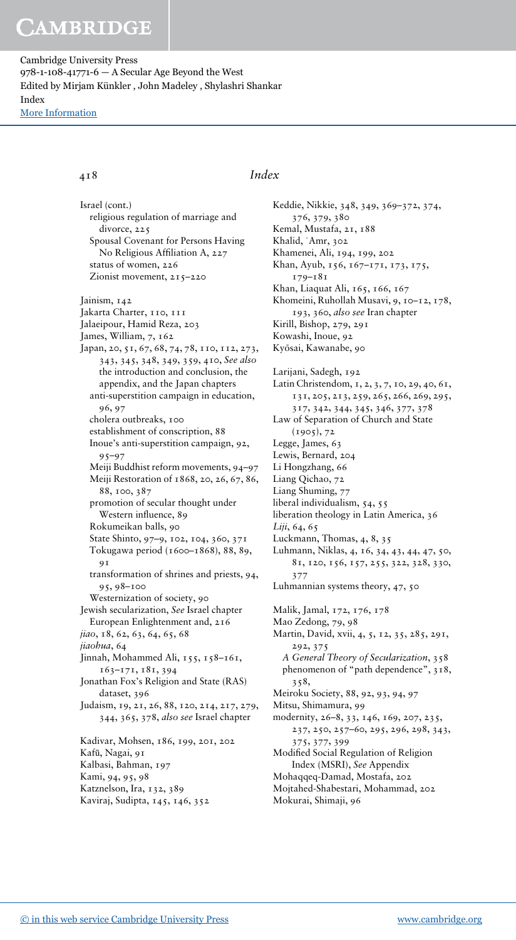Cambridge University Press 978-1-108-41771-6 — A Secular Age Beyond the West Edited by Mirjam Künkler , John Madeley , Shylashri Shankar Index [More Information](www.cambridge.org/9781108417716)

Israel (cont.) religious regulation of marriage and divorce, 225 Spousal Covenant for Persons Having No Religious Affiliation A, 227 status of women, 226 Zionist movement, 215-220 Jainism, 142 Jakarta Charter, 110, 111 Jalaeipour, Hamid Reza, 203 James, William, 7, 162 Japan, 20, 51, 67, 68, 74, 78, 110, 112, 273, 343, 345, 348, 349, 359, 410, See also the introduction and conclusion, the appendix, and the Japan chapters anti-superstition campaign in education, 96, 97 cholera outbreaks, 100 establishment of conscription, 88 Inoue's anti-superstition campaign, 92, 95–97 Meiji Buddhist reform movements, 94–97 Meiji Restoration of 1868, 20, 26, 67, 86, 88, 100, 387 promotion of secular thought under Western influence, 89 Rokumeikan balls, 90 State Shinto, 97–9, 102, 104, 360, 371 Tokugawa period (1600–1868), 88, 89, 91 transformation of shrines and priests, 94, 95, 98–100 Westernization of society, 90 Jewish secularization, See Israel chapter European Enlightenment and, 216 jiao, 18, 62, 63, 64, 65, 68 jiaohua, 64 Jinnah, Mohammed Ali, 155, 158–161, 163–171, 181, 394 Jonathan Fox's Religion and State (RAS) dataset, 396 Judaism, 19, 21, 26, 88, 120, 214, 217, 279, 344, 365, 378, also see Israel chapter Kadivar, Mohsen, 186, 199, 201, 202 Kafū, Nagai, 91 Kalbasi, Bahman, 197 Kami, 94, 95, 98 Katznelson, Ira, 132, 389 Kaviraj, Sudipta, 145, 146, 352

#### 418 Index

Keddie, Nikkie, 348, 349, 369–372, 374, 376, 379, 380 Kemal, Mustafa, 21, 188 Khalid, ʿAmr, 302 Khamenei, Ali, 194, 199, 202 Khan, Ayub, 156, 167–171, 173, 175, 179–181 Khan, Liaquat Ali, 165, 166, 167 Khomeini, Ruhollah Musavi, 9, 10–12, 178, 193, 360, also see Iran chapter Kirill, Bishop, 279, 291 Kowashi, Inoue, 92 Kyōsai, Kawanabe, 90 Larijani, Sadegh, 192 Latin Christendom, 1, 2, 3, 7, 10, 29, 40, 61, 131, 205, 213, 259, 265, 266, 269, 295, 317, 342, 344, 345, 346, 377, 378 Law of Separation of Church and State  $(1905), 72$ Legge, James, 63 Lewis, Bernard, 204 Li Hongzhang, 66 Liang Qichao, 72 Liang Shuming, 77 liberal individualism, 54, 55 liberation theology in Latin America, 36 Liji, 64, 65 Luckmann, Thomas, 4, 8, 35 Luhmann, Niklas, 4, 16, 34, 43, 44, 47, 50, 81, 120, 156, 157, 255, 322, 328, 330, 377 Luhmannian systems theory, 47, 50 Malik, Jamal, 172, 176, 178 Mao Zedong, 79, 98 Martin, David, xvii, 4, 5, 12, 35, 285, 291, 292, 375 A General Theory of Secularization, 358 phenomenon of "path dependence", 318, 358, Meiroku Society, 88, 92, 93, 94, 97 Mitsu, Shimamura, 99 modernity, 26–8, 33, 146, 169, 207, 235, 237, 250, 257–60, 295, 296, 298, 343, 375, 377, 399 Modified Social Regulation of Religion Index (MSRI), See Appendix Mohaqqeq-Damad, Mostafa, 202 Mojtahed-Shabestari, Mohammad, 202 Mokurai, Shimaji, 96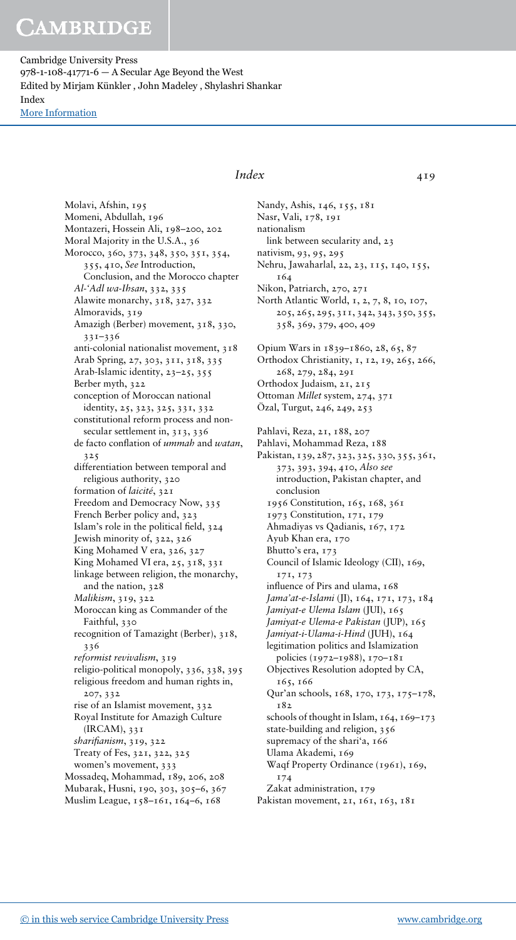Cambridge University Press 978-1-108-41771-6 — A Secular Age Beyond the West Edited by Mirjam Künkler , John Madeley , Shylashri Shankar Index [More Information](www.cambridge.org/9781108417716)

> Molavi, Afshin, 195 Momeni, Abdullah, 196 Montazeri, Hossein Ali, 198–200, 202 Moral Majority in the U.S.A., 36 Morocco, 360, 373, 348, 350, 351, 354, 355, 410, See Introduction, Conclusion, and the Morocco chapter Al-'Adl wa-Ihsan, 332, 335 Alawite monarchy, 318, 327, 332 Almoravids, 319 Amazigh (Berber) movement, 318, 330, 331–336 anti-colonial nationalist movement, 318 Arab Spring, 27, 303, 311, 318, 335 Arab-Islamic identity, 23–25, 355 Berber myth, 322 conception of Moroccan national identity, 25, 323, 325, 331, 332 constitutional reform process and nonsecular settlement in, 313, 336 de facto conflation of ummah and watan, 325 differentiation between temporal and religious authority, 320 formation of laicité, 321 Freedom and Democracy Now, 335 French Berber policy and, 323 Islam's role in the political field, 324 Jewish minority of, 322, 326 King Mohamed V era, 326, 327 King Mohamed VI era, 25, 318, 331 linkage between religion, the monarchy, and the nation, 328 Malikism, 319, 322 Moroccan king as Commander of the Faithful, 330 recognition of Tamazight (Berber), 318, 336 reformist revivalism, 319 religio-political monopoly, 336, 338, 395 religious freedom and human rights in, 207, 332 rise of an Islamist movement, 332 Royal Institute for Amazigh Culture (IRCAM), 331 sharifianism, 319, 322 Treaty of Fes, 321, 322, 325 women's movement, 333 Mossadeq, Mohammad, 189, 206, 208 Mubarak, Husni, 190, 303, 305–6, 367 Muslim League, 158–161, 164–6, 168

### Index 419

Nandy, Ashis, 146, 155, 181 Nasr, Vali, 178, 191 nationalism link between secularity and, 23 nativism, 93, 95, 295 Nehru, Jawaharlal, 22, 23, 115, 140, 155, 164 Nikon, Patriarch, 270, 271 North Atlantic World, 1, 2, 7, 8, 10, 107, 205, 265, 295, 311, 342, 343, 350, 355, 358, 369, 379, 400, 409 Opium Wars in 1839–1860, 28, 65, 87 Orthodox Christianity, 1, 12, 19, 265, 266, 268, 279, 284, 291 Orthodox Judaism, 21, 215 Ottoman Millet system, 274, 371 Özal, Turgut, 246, 249, 253 Pahlavi, Reza, 21, 188, 207 Pahlavi, Mohammad Reza, 188 Pakistan, 139, 287, 323, 325, 330, 355, 361, 373, 393, 394, 410, Also see introduction, Pakistan chapter, and conclusion 1956 Constitution, 165, 168, 361 1973 Constitution, 171, 179 Ahmadiyas vs Qadianis, 167, 172 Ayub Khan era, 170 Bhutto's era, 173 Council of Islamic Ideology (CII), 169, 171, 173 influence of Pirs and ulama, 168 Jama'at-e-Islami (JI), 164, 171, 173, 184 Jamiyat-e Ulema Islam (JUI), 165 Jamiyat-e Ulema-e Pakistan (JUP), 165 Jamiyat-i-Ulama-i-Hind (JUH), 164 legitimation politics and Islamization policies (1972–1988), 170–181 Objectives Resolution adopted by CA, 165, 166 Qur'an schools, 168, 170, 173, 175–178, 182 schools of thought in Islam,  $164$ ,  $169-173$ state-building and religion, 356 supremacy of the shari'a, 166 Ulama Akademi, 169 Waqf Property Ordinance (1961), 169, 174 Zakat administration, 179 Pakistan movement, 21, 161, 163, 181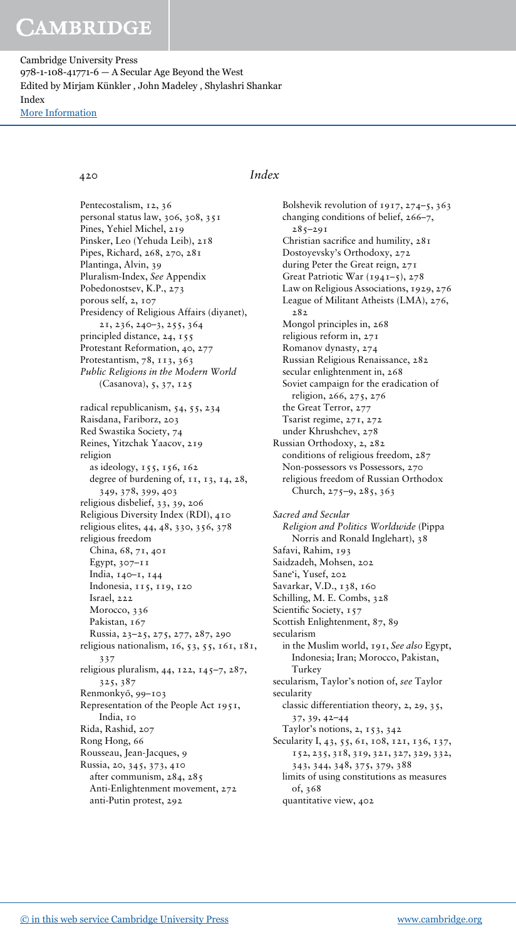Cambridge University Press 978-1-108-41771-6 — A Secular Age Beyond the West Edited by Mirjam Künkler , John Madeley , Shylashri Shankar Index [More Information](www.cambridge.org/9781108417716)

420 Index

Pentecostalism, 12, 36 personal status law, 306, 308, 351 Pines, Yehiel Michel, 219 Pinsker, Leo (Yehuda Leib), 218 Pipes, Richard, 268, 270, 281 Plantinga, Alvin, 39 Pluralism-Index, See Appendix Pobedonostsev, K.P., 273 porous self, 2, 107 Presidency of Religious Affairs (diyanet), 21, 236, 240–3, 255, 364 principled distance, 24, 155 Protestant Reformation, 40, 277 Protestantism, 78, 113, 363 Public Religions in the Modern World (Casanova), 5, 37, 125 radical republicanism, 54, 55, 234 Raisdana, Fariborz, 203 Red Swastika Society, 74 Reines, Yitzchak Yaacov, 219 religion as ideology, 155, 156, 162 degree of burdening of, 11, 13, 14, 28, 349, 378, 399, 403 religious disbelief, 33, 39, 206 Religious Diversity Index (RDI), 410 religious elites, 44, 48, 330, 356, 378 religious freedom China, 68, 71, 401 Egypt,  $307-11$ India, 140–1, 144 Indonesia, 115, 119, 120 Israel, 222 Morocco, 336 Pakistan, 167 Russia, 23–25, 275, 277, 287, 290 religious nationalism, 16, 53, 55, 161, 181, 337 religious pluralism, 44, 122, 145–7, 287, 325, 387 Renmonkyō, 99-103 Representation of the People Act 1951, India, 10 Rida, Rashid, 207 Rong Hong, 66 Rousseau, Jean-Jacques, 9 Russia, 20, 345, 373, 410 after communism, 284, 285 Anti-Enlightenment movement, 272 anti-Putin protest, 292

Bolshevik revolution of 1917, 274–5, 363 changing conditions of belief, 266–7,  $285 - 291$ Christian sacrifice and humility, 281 Dostoyevsky's Orthodoxy, 272 during Peter the Great reign, 271 Great Patriotic War (1941–5), 278 Law on Religious Associations, 1929, 276 League of Militant Atheists (LMA), 276, 282 Mongol principles in, 268 religious reform in, 271 Romanov dynasty, 274 Russian Religious Renaissance, 282 secular enlightenment in, 268 Soviet campaign for the eradication of religion, 266, 275, 276 the Great Terror, 277 Tsarist regime, 271, 272 under Khrushchev, 278 Russian Orthodoxy, 2, 282 conditions of religious freedom, 287 Non-possessors vs Possessors, 270 religious freedom of Russian Orthodox Church, 275–9, 285, 363 Sacred and Secular Religion and Politics Worldwide (Pippa Norris and Ronald Inglehart), 38 Safavi, Rahim, 193 Saidzadeh, Mohsen, 202 Sane'i, Yusef, 202 Savarkar, V.D., 138, 160 Schilling, M. E. Combs, 328 Scientific Society, 157 Scottish Enlightenment, 87, 89 secularism in the Muslim world, 191, See also Egypt, Indonesia; Iran; Morocco, Pakistan, Turkey secularism, Taylor's notion of, see Taylor secularity classic differentiation theory, 2, 29, 35, 37, 39, 42–44 Taylor's notions, 2, 153, 342 Secularity I, 43, 55, 61, 108, 121, 136, 137, 152, 235, 318, 319, 321, 327, 329, 332, 343, 344, 348, 375, 379, 388 limits of using constitutions as measures of, 368 quantitative view, 402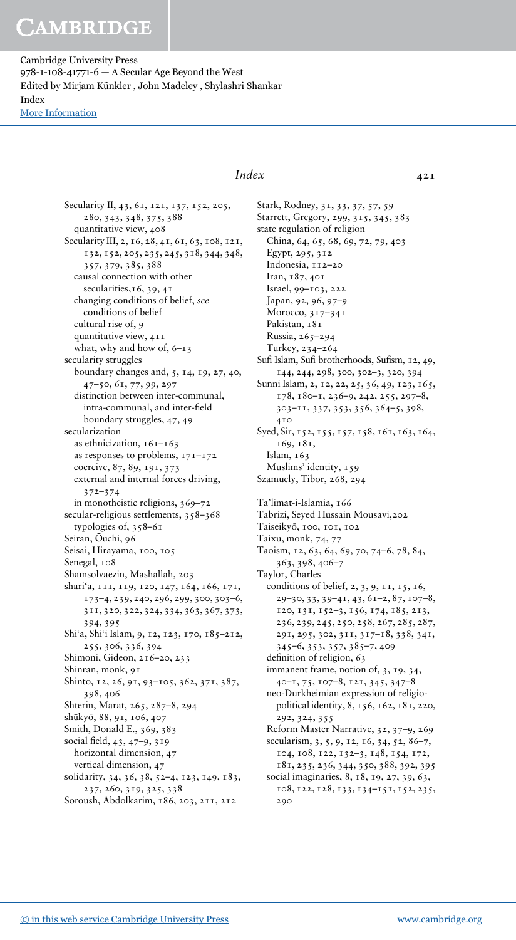Cambridge University Press 978-1-108-41771-6 — A Secular Age Beyond the West Edited by Mirjam Künkler , John Madeley , Shylashri Shankar Index [More Information](www.cambridge.org/9781108417716)

> Secularity II, 43, 61, 121, 137, 152, 205, 280, 343, 348, 375, 388 quantitative view, 408 Secularity III, 2, 16, 28, 41, 61, 63, 108, 121, 132, 152, 205, 235, 245, 318, 344, 348, 357, 379, 385, 388 causal connection with other secularities, 16, 39, 41 changing conditions of belief, see conditions of belief cultural rise of, 9 quantitative view, 411 what, why and how of, 6–13 secularity struggles boundary changes and, 5, 14, 19, 27, 40, 47–50, 61, 77, 99, 297 distinction between inter-communal, intra-communal, and inter-field boundary struggles, 47, 49 secularization as ethnicization, 161–163 as responses to problems, 171–172 coercive, 87, 89, 191, 373 external and internal forces driving, 372–374 in monotheistic religions, 369–72 secular-religious settlements, 358–368 typologies of, 358–61 Seiran, Ōuchi, 96 Seisai, Hirayama, 100, 105 Senegal,  $108$ Shamsolvaezin, Mashallah, 203 shari'a, 111, 119, 120, 147, 164, 166, 171, 173–4, 239, 240, 296, 299, 300, 303–6, 311, 320, 322, 324, 334, 363, 367, 373, 394, 395 Shi'a, Shi'i Islam, 9, 12, 123, 170, 185–212, 255, 306, 336, 394 Shimoni, Gideon, 216–20, 233 Shinran, monk, 91 Shinto, 12, 26, 91, 93–105, 362, 371, 387, 398, 406 Shterin, Marat, 265, 287–8, 294 shūkyō, 88, 91, 106, 407 Smith, Donald E., 369, 383 social field, 43, 47–9, 319 horizontal dimension, 47 vertical dimension, 47 solidarity, 34, 36, 38, 52–4, 123, 149, 183, 237, 260, 319, 325, 338 Soroush, Abdolkarim, 186, 203, 211, 212

### Index 421

Stark, Rodney, 31, 33, 37, 57, 59 Starrett, Gregory, 299, 315, 345, 383 state regulation of religion China, 64, 65, 68, 69, 72, 79, 403 Egypt, 295, 312 Indonesia, 112–20 Iran, 187, 401 Israel, 99–103, 222 Japan, 92, 96, 97–9 Morocco, 317–341 Pakistan, 181 Russia, 265–294 Turkey, 234–264 Sufi Islam, Sufi brotherhoods, Sufism, 12, 49, 144, 244, 298, 300, 302–3, 320, 394 Sunni Islam, 2, 12, 22, 25, 36, 49, 123, 165, 178, 180–1, 236–9, 242, 255, 297–8, 303–11, 337, 353, 356, 364–5, 398, 410 Syed, Sir, 152, 155, 157, 158, 161, 163, 164, 169, 181, Islam, 163 Muslims' identity, 159 Szamuely, Tibor, 268, 294 Ta'limat-i-Islamia, 166 Tabrizi, Seyed Hussain Mousavi,202 Taiseikyō, 100, 101, 102 Taixu, monk, 74, 77 Taoism, 12, 63, 64, 69, 70, 74–6, 78, 84, 363, 398, 406–7 Taylor, Charles conditions of belief, 2, 3, 9, 11, 15, 16, 29–30, 33, 39–41, 43, 61–2, 87, 107–8, 120, 131, 152–3, 156, 174, 185, 213, 236, 239, 245, 250, 258, 267, 285, 287, 291, 295, 302, 311, 317–18, 338, 341, 345–6, 353, 357, 385–7, 409 definition of religion, 63 immanent frame, notion of, 3, 19, 34, 40–1, 75, 107–8, 121, 345, 347–8 neo-Durkheimian expression of religiopolitical identity, 8, 156, 162, 181, 220, 292, 324, 355 Reform Master Narrative, 32, 37–9, 269 secularism, 3, 5, 9, 12, 16, 34, 52, 86-7, 104, 108, 122, 132–3, 148, 154, 172, 181, 235, 236, 344, 350, 388, 392, 395 social imaginaries, 8, 18, 19, 27, 39, 63, 108, 122, 128, 133, 134–151, 152, 235, 290